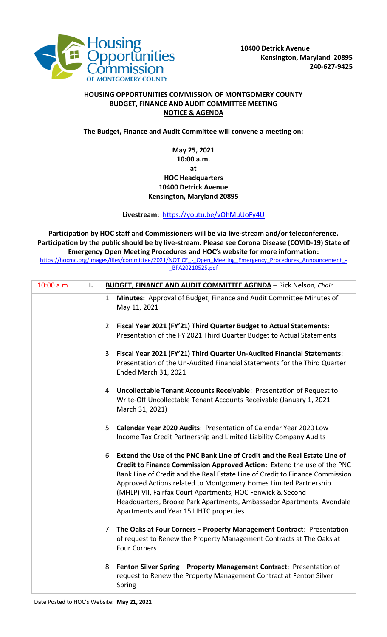

## **HOUSING OPPORTUNITIES COMMISSION OF MONTGOMERY COUNTY BUDGET, FINANCE AND AUDIT COMMITTEE MEETING NOTICE & AGENDA**

## **The Budget, Finance and Audit Committee will convene a meeting on:**

## **May 25, 2021 10:00 a.m. at HOC Headquarters 10400 Detrick Avenue Kensington, Maryland 20895**

## **Livestream:** <https://youtu.be/vOhMuUoFy4U>

**Participation by HOC staff and Commissioners will be via live-stream and/or teleconference. Participation by the public should be by live-stream. Please see Corona Disease (COVID-19) State of Emergency Open Meeting Procedures and HOC's website for more information:**

https://hocmc.org/images/files/committee/2021/NOTICE - Open\_Meeting\_Emergency\_Procedures\_Announcement\_-[\\_BFA20210525.pdf](https://hocmc.org/images/files/committee/2021/NOTICE_-_Open_Meeting_Emergency_Procedures_Announcement_-_BFA20210525.pdf)

| 10:00 a.m. | I. | <b>BUDGET, FINANCE AND AUDIT COMMITTEE AGENDA - Rick Nelson, Chair</b>                                                                                                                                                                                                                                                                                                                                                                                                                        |
|------------|----|-----------------------------------------------------------------------------------------------------------------------------------------------------------------------------------------------------------------------------------------------------------------------------------------------------------------------------------------------------------------------------------------------------------------------------------------------------------------------------------------------|
|            |    | 1. Minutes: Approval of Budget, Finance and Audit Committee Minutes of<br>May 11, 2021                                                                                                                                                                                                                                                                                                                                                                                                        |
|            |    | 2. Fiscal Year 2021 (FY'21) Third Quarter Budget to Actual Statements:<br>Presentation of the FY 2021 Third Quarter Budget to Actual Statements                                                                                                                                                                                                                                                                                                                                               |
|            |    | 3. Fiscal Year 2021 (FY'21) Third Quarter Un-Audited Financial Statements:<br>Presentation of the Un-Audited Financial Statements for the Third Quarter<br><b>Ended March 31, 2021</b>                                                                                                                                                                                                                                                                                                        |
|            |    | 4. Uncollectable Tenant Accounts Receivable: Presentation of Request to<br>Write-Off Uncollectable Tenant Accounts Receivable (January 1, 2021 -<br>March 31, 2021)                                                                                                                                                                                                                                                                                                                           |
|            |    | 5. Calendar Year 2020 Audits: Presentation of Calendar Year 2020 Low<br>Income Tax Credit Partnership and Limited Liability Company Audits                                                                                                                                                                                                                                                                                                                                                    |
|            |    | 6. Extend the Use of the PNC Bank Line of Credit and the Real Estate Line of<br>Credit to Finance Commission Approved Action: Extend the use of the PNC<br>Bank Line of Credit and the Real Estate Line of Credit to Finance Commission<br>Approved Actions related to Montgomery Homes Limited Partnership<br>(MHLP) VII, Fairfax Court Apartments, HOC Fenwick & Second<br>Headquarters, Brooke Park Apartments, Ambassador Apartments, Avondale<br>Apartments and Year 15 LIHTC properties |
|            |    | 7. The Oaks at Four Corners - Property Management Contract: Presentation<br>of request to Renew the Property Management Contracts at The Oaks at<br><b>Four Corners</b>                                                                                                                                                                                                                                                                                                                       |
|            |    | 8. Fenton Silver Spring - Property Management Contract: Presentation of<br>request to Renew the Property Management Contract at Fenton Silver<br>Spring                                                                                                                                                                                                                                                                                                                                       |